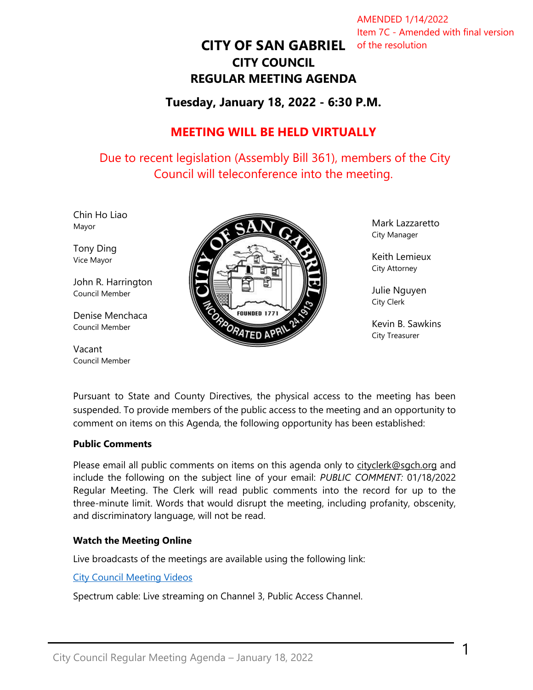AMENDED 1/14/2022 Item 7C - Amended with final version

# **CITY OF SAN GABRIEL** of the resolution**CITY COUNCIL REGULAR MEETING AGENDA**

# **Tuesday, January 18, 2022 - 6:30 P.M.**

# **MEETING WILL BE HELD VIRTUALLY**

Due to recent legislation (Assembly Bill 361), members of the City Council will teleconference into the meeting.

Chin Ho Liao Mayor

Tony Ding Vice Mayor

John R. Harrington Council Member

Denise Menchaca Council Member

Vacant Council Member



Mark Lazzaretto City Manager

Keith Lemieux City Attorney

Julie Nguyen City Clerk

Kevin B. Sawkins City Treasurer

1

Pursuant to State and County Directives, the physical access to the meeting has been suspended. To provide members of the public access to the meeting and an opportunity to comment on items on this Agenda, the following opportunity has been established:

#### **Public Comments**

Please email all public comments on items on this agenda only to [cityclerk@sgch.org](mailto:cityclerk@sgch.org) and include the following on the subject line of your email: *PUBLIC COMMENT:* 01/18/2022 Regular Meeting. The Clerk will read public comments into the record for up to the three-minute limit. Words that would disrupt the meeting, including profanity, obscenity, and discriminatory language, will not be read.

#### **Watch the Meeting Online**

Live broadcasts of the meetings are available using the following link:

#### [City Council Meeting Videos](https://www.youtube.com/CityofSanGabriel)

Spectrum cable: Live streaming on Channel 3, Public Access Channel.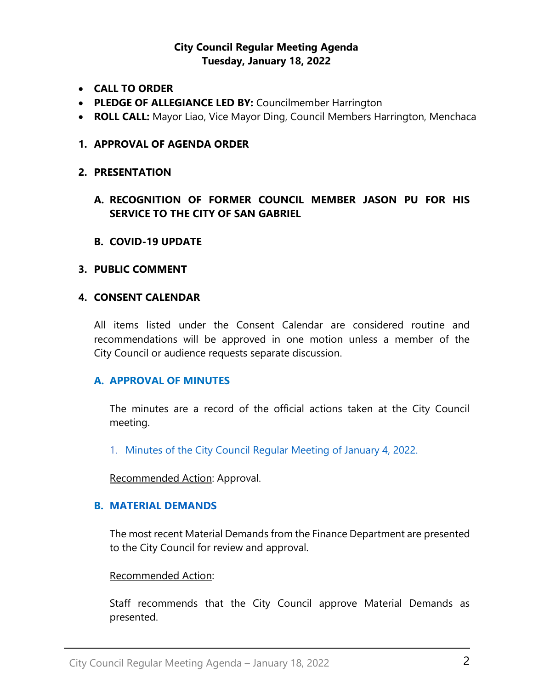### **City Council Regular Meeting Agenda Tuesday, January 18, 2022**

- **CALL TO ORDER**
- **PLEDGE OF ALLEGIANCE LED BY:** Councilmember Harrington
- **ROLL CALL:** Mayor Liao, Vice Mayor Ding, Council Members Harrington, Menchaca

#### **1. APPROVAL OF AGENDA ORDER**

#### **2. PRESENTATION**

- **A. RECOGNITION OF FORMER COUNCIL MEMBER JASON PU FOR HIS SERVICE TO THE CITY OF SAN GABRIEL**
- **B. COVID-19 UPDATE**

#### **3. PUBLIC COMMENT**

#### **4. CONSENT CALENDAR**

All items listed under the Consent Calendar are considered routine and recommendations will be approved in one motion unless a member of the City Council or audience requests separate discussion.

#### **A. APPROVAL OF MINUTES**

The minutes are a record of the official actions taken at the City Council meeting.

1. [Minutes of the City Council Regular Meeting of January 4, 2022.](https://www.sangabrielcity.com/DocumentCenter/View/15897/Item-4A---2022-01-04-Minutes---Regular-Meeting)

Recommended Action: Approval.

#### **B. [MATERIAL DEMANDS](https://www.sangabrielcity.com/DocumentCenter/View/15891/Item-4B---Material-Demands)**

The most recent Material Demands from the Finance Department are presented to the City Council for review and approval.

#### Recommended Action:

Staff recommends that the City Council approve Material Demands as presented.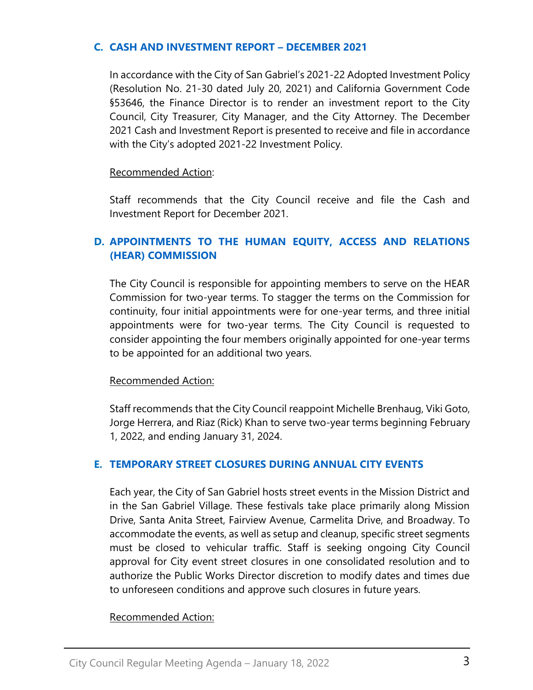#### **C. [CASH AND INVESTMENT REPORT](https://www.sangabrielcity.com/DocumentCenter/View/15905/Item-4C---Cash-and-Investment-Report---December-2021) – DECEMBER 2021**

In accordance with the City of San Gabriel's 2021-22 Adopted Investment Policy (Resolution No. 21-30 dated July 20, 2021) and California Government Code §53646, the Finance Director is to render an investment report to the City Council, City Treasurer, City Manager, and the City Attorney. The December 2021 Cash and Investment Report is presented to receive and file in accordance with the City's adopted 2021-22 Investment Policy.

#### Recommended Action:

Staff recommends that the City Council receive and file the Cash and Investment Report for December 2021.

## **D. APPOINTMENTS [TO THE HUMAN EQUITY, ACCESS AND RELATIONS](https://www.sangabrielcity.com/DocumentCenter/View/15898/Item-4D---Appointments-to-HEAR-Commission)  [\(HEAR\) COMMISSION](https://www.sangabrielcity.com/DocumentCenter/View/15898/Item-4D---Appointments-to-HEAR-Commission)**

The City Council is responsible for appointing members to serve on the HEAR Commission for two-year terms. To stagger the terms on the Commission for continuity, four initial appointments were for one-year terms, and three initial appointments were for two-year terms. The City Council is requested to consider appointing the four members originally appointed for one-year terms to be appointed for an additional two years.

#### Recommended Action:

Staff recommends that the City Council reappoint Michelle Brenhaug, Viki Goto, Jorge Herrera, and Riaz (Rick) Khan to serve two-year terms beginning February 1, 2022, and ending January 31, 2024.

### **E. [TEMPORARY STREET CLOSURES DURING ANNUAL CITY EVENTS](https://www.sangabrielcity.com/DocumentCenter/View/15892/Item-4E---Temporary-Street-Closures-During-Annual-City-Events)**

Each year, the City of San Gabriel hosts street events in the Mission District and in the San Gabriel Village. These festivals take place primarily along Mission Drive, Santa Anita Street, Fairview Avenue, Carmelita Drive, and Broadway. To accommodate the events, as well as setup and cleanup, specific street segments must be closed to vehicular traffic. Staff is seeking ongoing City Council approval for City event street closures in one consolidated resolution and to authorize the Public Works Director discretion to modify dates and times due to unforeseen conditions and approve such closures in future years.

### Recommended Action: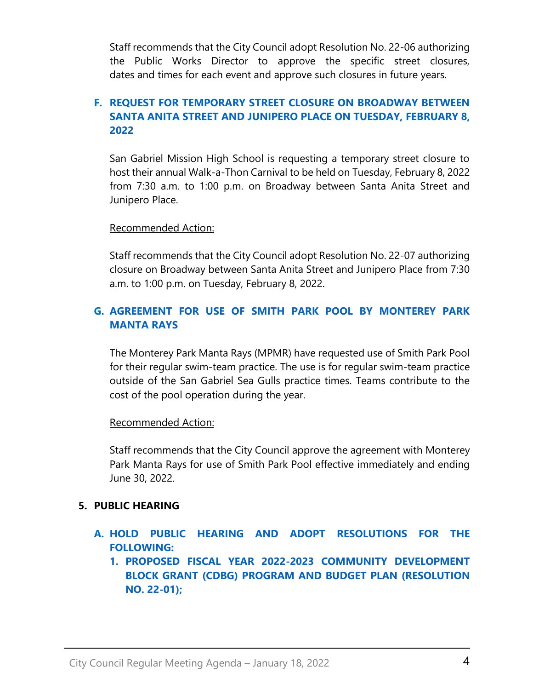Staff recommends that the City Council adopt Resolution No. 22-06 authorizing the Public Works Director to approve the specific street closures, dates and times for each event and approve such closures in future years.

# **F. [REQUEST FOR TEMPORARY STREET CLOSURE ON BROADWAY BETWEEN](https://www.sangabrielcity.com/DocumentCenter/View/15893/Item-4F---Request-for-Temporary-Street-Closure-San-Gabriel-Mission-High-School)  [SANTA ANITA STREET AND JUNIPERO PLACE ON TUESDAY,](https://www.sangabrielcity.com/DocumentCenter/View/15893/Item-4F---Request-for-Temporary-Street-Closure-San-Gabriel-Mission-High-School) FEBRUARY 8, [2022](https://www.sangabrielcity.com/DocumentCenter/View/15893/Item-4F---Request-for-Temporary-Street-Closure-San-Gabriel-Mission-High-School)**

San Gabriel Mission High School is requesting a temporary street closure to host their annual Walk-a-Thon Carnival to be held on Tuesday, February 8, 2022 from 7:30 a.m. to 1:00 p.m. on Broadway between Santa Anita Street and Junipero Place.

### Recommended Action:

Staff recommends that the City Council adopt Resolution No. 22-07 authorizing closure on Broadway between Santa Anita Street and Junipero Place from 7:30 a.m. to 1:00 p.m. on Tuesday, February 8, 2022.

# **G. [AGREEMENT FOR USE OF SMITH PARK POOL BY MONTEREY PARK](https://www.sangabrielcity.com/DocumentCenter/View/15894/Item-4I---Agreement-for-Use-of-Smith-Park-Pool-By-Monterey-Park-Manta-Rays)  [MANTA RAYS](https://www.sangabrielcity.com/DocumentCenter/View/15894/Item-4I---Agreement-for-Use-of-Smith-Park-Pool-By-Monterey-Park-Manta-Rays)**

The Monterey Park Manta Rays (MPMR) have requested use of Smith Park Pool for their regular swim-team practice. The use is for regular swim-team practice outside of the San Gabriel Sea Gulls practice times. Teams contribute to the cost of the pool operation during the year.

Recommended Action:

Staff recommends that the City Council approve the agreement with Monterey Park Manta Rays for use of Smith Park Pool effective immediately and ending June 30, 2022.

### **5. PUBLIC HEARING**

- **A. [HOLD PUBLIC HEARING AND ADOPT RESOLUTIONS FOR THE](https://www.sangabrielcity.com/DocumentCenter/View/15902/Item-5A---Adopt-Resolutions-for-2022-2023-CDBG-Program-and-Budget-Plan)  [FOLLOWING:](https://www.sangabrielcity.com/DocumentCenter/View/15902/Item-5A---Adopt-Resolutions-for-2022-2023-CDBG-Program-and-Budget-Plan)**
	- **1. [PROPOSED FISCAL YEAR 2022-2023 COMMUNITY DEVELOPMENT](https://www.sangabrielcity.com/DocumentCenter/View/15902/Item-5A---Adopt-Resolutions-for-2022-2023-CDBG-Program-and-Budget-Plan)  [BLOCK GRANT \(CDBG\) PROGRAM AND BUDGET PLAN \(RESOLUTION](https://www.sangabrielcity.com/DocumentCenter/View/15902/Item-5A---Adopt-Resolutions-for-2022-2023-CDBG-Program-and-Budget-Plan)  [NO. 22-01\);](https://www.sangabrielcity.com/DocumentCenter/View/15902/Item-5A---Adopt-Resolutions-for-2022-2023-CDBG-Program-and-Budget-Plan)**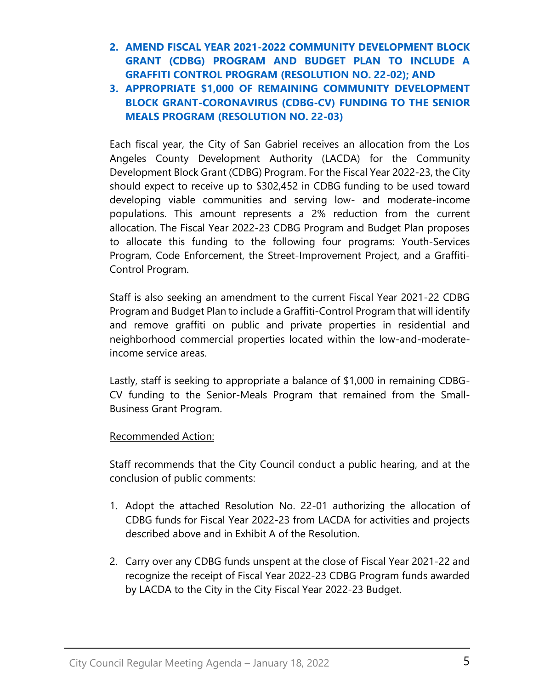- **2. [AMEND FISCAL YEAR 2021-2022 COMMUNITY DEVELOPMENT BLOCK](https://www.sangabrielcity.com/DocumentCenter/View/15902/Item-5A---Adopt-Resolutions-for-2022-2023-CDBG-Program-and-Budget-Plan)  [GRANT \(CDBG\) PROGRAM AND BUDGET PLAN TO INCLUDE A](https://www.sangabrielcity.com/DocumentCenter/View/15902/Item-5A---Adopt-Resolutions-for-2022-2023-CDBG-Program-and-Budget-Plan) [GRAFFITI CONTROL PROGRAM \(RESOLUTION NO. 22-02\); AND](https://www.sangabrielcity.com/DocumentCenter/View/15902/Item-5A---Adopt-Resolutions-for-2022-2023-CDBG-Program-and-Budget-Plan)**
- **3. [APPROPRIATE \\$1,000 OF REMAINING COMMUNITY DEVELOPMENT](https://www.sangabrielcity.com/DocumentCenter/View/15902/Item-5A---Adopt-Resolutions-for-2022-2023-CDBG-Program-and-Budget-Plan)  [BLOCK GRANT-CORONAVIRUS](https://www.sangabrielcity.com/DocumentCenter/View/15902/Item-5A---Adopt-Resolutions-for-2022-2023-CDBG-Program-and-Budget-Plan) (CDBG-CV) FUNDING TO THE SENIOR [MEALS PROGRAM \(RESOLUTION NO. 22-03\)](https://www.sangabrielcity.com/DocumentCenter/View/15902/Item-5A---Adopt-Resolutions-for-2022-2023-CDBG-Program-and-Budget-Plan)**

Each fiscal year, the City of San Gabriel receives an allocation from the Los Angeles County Development Authority (LACDA) for the Community Development Block Grant (CDBG) Program. For the Fiscal Year 2022-23, the City should expect to receive up to \$302,452 in CDBG funding to be used toward developing viable communities and serving low- and moderate-income populations. This amount represents a 2% reduction from the current allocation. The Fiscal Year 2022-23 CDBG Program and Budget Plan proposes to allocate this funding to the following four programs: Youth-Services Program, Code Enforcement, the Street-Improvement Project, and a Graffiti-Control Program.

Staff is also seeking an amendment to the current Fiscal Year 2021-22 CDBG Program and Budget Plan to include a Graffiti-Control Program that will identify and remove graffiti on public and private properties in residential and neighborhood commercial properties located within the low-and-moderateincome service areas.

Lastly, staff is seeking to appropriate a balance of \$1,000 in remaining CDBG-CV funding to the Senior-Meals Program that remained from the Small-Business Grant Program.

### Recommended Action:

Staff recommends that the City Council conduct a public hearing, and at the conclusion of public comments:

- 1. Adopt the attached Resolution No. 22-01 authorizing the allocation of CDBG funds for Fiscal Year 2022-23 from LACDA for activities and projects described above and in Exhibit A of the Resolution.
- 2. Carry over any CDBG funds unspent at the close of Fiscal Year 2021-22 and recognize the receipt of Fiscal Year 2022-23 CDBG Program funds awarded by LACDA to the City in the City Fiscal Year 2022-23 Budget.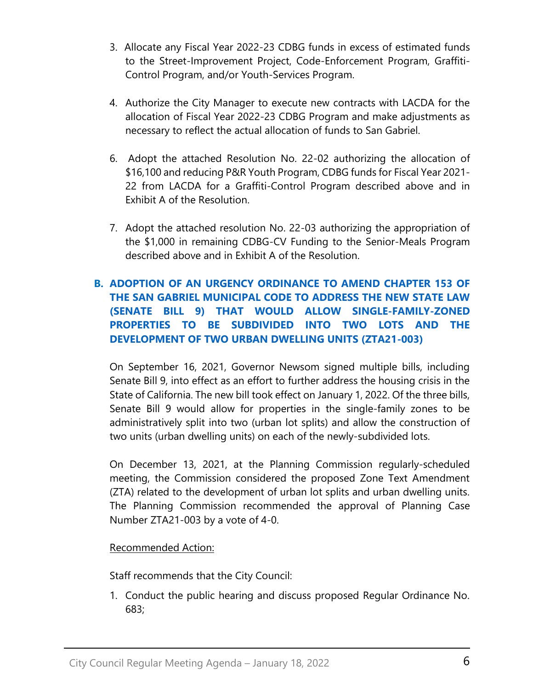- 3. Allocate any Fiscal Year 2022-23 CDBG funds in excess of estimated funds to the Street-Improvement Project, Code-Enforcement Program, Graffiti-Control Program, and/or Youth-Services Program.
- 4. Authorize the City Manager to execute new contracts with LACDA for the allocation of Fiscal Year 2022-23 CDBG Program and make adjustments as necessary to reflect the actual allocation of funds to San Gabriel.
- 6. Adopt the attached Resolution No. 22-02 authorizing the allocation of \$16,100 and reducing P&R Youth Program, CDBG funds for Fiscal Year 2021- 22 from LACDA for a Graffiti-Control Program described above and in Exhibit A of the Resolution.
- 7. Adopt the attached resolution No. 22-03 authorizing the appropriation of the \$1,000 in remaining CDBG-CV Funding to the Senior-Meals Program described above and in Exhibit A of the Resolution.

# **B. [ADOPTION OF AN URGENCY ORDINANCE TO AMEND CHAPTER 153 OF](https://www.sangabrielcity.com/DocumentCenter/View/15903/Item-5B---Adoption-of-Ordinance-for-SB9)  [THE SAN GABRIEL MUNICIPAL CODE TO ADDRESS THE NEW STATE LAW](https://www.sangabrielcity.com/DocumentCenter/View/15903/Item-5B---Adoption-of-Ordinance-for-SB9)  [\(SENATE BILL 9\) THAT WOULD ALLOW SINGLE-FAMILY-ZONED](https://www.sangabrielcity.com/DocumentCenter/View/15903/Item-5B---Adoption-of-Ordinance-for-SB9)  [PROPERTIES TO BE SUBDIVIDED INTO TWO LOTS AND THE](https://www.sangabrielcity.com/DocumentCenter/View/15903/Item-5B---Adoption-of-Ordinance-for-SB9)  [DEVELOPMENT OF TWO URBAN DWELLING UNITS \(ZTA21-003\)](https://www.sangabrielcity.com/DocumentCenter/View/15903/Item-5B---Adoption-of-Ordinance-for-SB9)**

On September 16, 2021, Governor Newsom signed multiple bills, including Senate Bill 9, into effect as an effort to further address the housing crisis in the State of California. The new bill took effect on January 1, 2022. Of the three bills, Senate Bill 9 would allow for properties in the single-family zones to be administratively split into two (urban lot splits) and allow the construction of two units (urban dwelling units) on each of the newly-subdivided lots.

On December 13, 2021, at the Planning Commission regularly-scheduled meeting, the Commission considered the proposed Zone Text Amendment (ZTA) related to the development of urban lot splits and urban dwelling units. The Planning Commission recommended the approval of Planning Case Number ZTA21-003 by a vote of 4-0.

### Recommended Action:

Staff recommends that the City Council:

1. Conduct the public hearing and discuss proposed Regular Ordinance No. 683;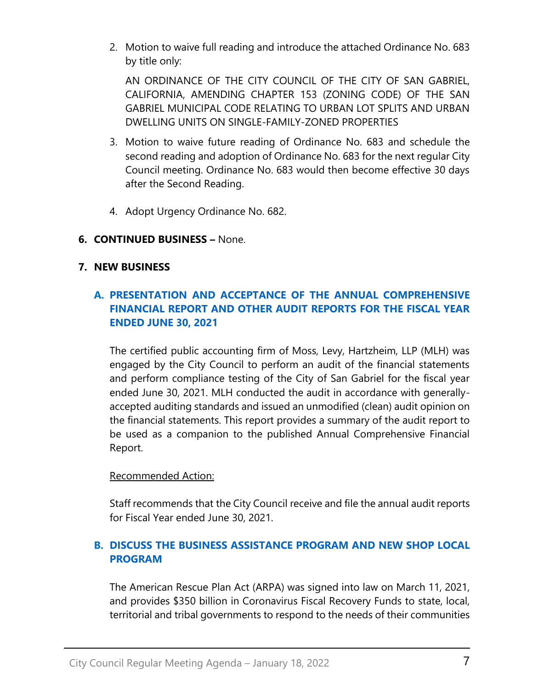2. Motion to waive full reading and introduce the attached Ordinance No. 683 by title only:

AN ORDINANCE OF THE CITY COUNCIL OF THE CITY OF SAN GABRIEL, CALIFORNIA, AMENDING CHAPTER 153 (ZONING CODE) OF THE SAN GABRIEL MUNICIPAL CODE RELATING TO URBAN LOT SPLITS AND URBAN DWELLING UNITS ON SINGLE-FAMILY-ZONED PROPERTIES

- 3. Motion to waive future reading of Ordinance No. 683 and schedule the second reading and adoption of Ordinance No. 683 for the next regular City Council meeting. Ordinance No. 683 would then become effective 30 days after the Second Reading.
- 4. Adopt Urgency Ordinance No. 682.

### **6. CONTINUED BUSINESS –** None.

### **7. NEW BUSINESS**

# **A. PRESENTATION [AND ACCEPTANCE OF THE ANNUAL COMPREHENSIVE](https://www.sangabrielcity.com/DocumentCenter/View/15895/Item-7A---Presentation-and-Acceptance-of-Annual-Comprehensive-Financial-Report-and-Audit-Reports-2021)  [FINANCIAL REPORT AND OTHER AUDIT REPORTS FOR THE FISCAL YEAR](https://www.sangabrielcity.com/DocumentCenter/View/15895/Item-7A---Presentation-and-Acceptance-of-Annual-Comprehensive-Financial-Report-and-Audit-Reports-2021)  [ENDED JUNE 30, 2021](https://www.sangabrielcity.com/DocumentCenter/View/15895/Item-7A---Presentation-and-Acceptance-of-Annual-Comprehensive-Financial-Report-and-Audit-Reports-2021)**

The certified public accounting firm of Moss, Levy, Hartzheim, LLP (MLH) was engaged by the City Council to perform an audit of the financial statements and perform compliance testing of the City of San Gabriel for the fiscal year ended June 30, 2021. MLH conducted the audit in accordance with generallyaccepted auditing standards and issued an unmodified (clean) audit opinion on the financial statements. This report provides a summary of the audit report to be used as a companion to the published Annual Comprehensive Financial Report.

### Recommended Action:

Staff recommends that the City Council receive and file the annual audit reports for Fiscal Year ended June 30, 2021.

# **B. [DISCUSS THE BUSINESS ASSISTANCE PROGRAM AND NEW SHOP LOCAL](https://www.sangabrielcity.com/DocumentCenter/View/15896/Item-7B---Discuss-the-Business-Assistance-Program-and-New-Shop-Local-Program)  [PROGRAM](https://www.sangabrielcity.com/DocumentCenter/View/15896/Item-7B---Discuss-the-Business-Assistance-Program-and-New-Shop-Local-Program)**

The American Rescue Plan Act (ARPA) was signed into law on March 11, 2021, and provides \$350 billion in Coronavirus Fiscal Recovery Funds to state, local, territorial and tribal governments to respond to the needs of their communities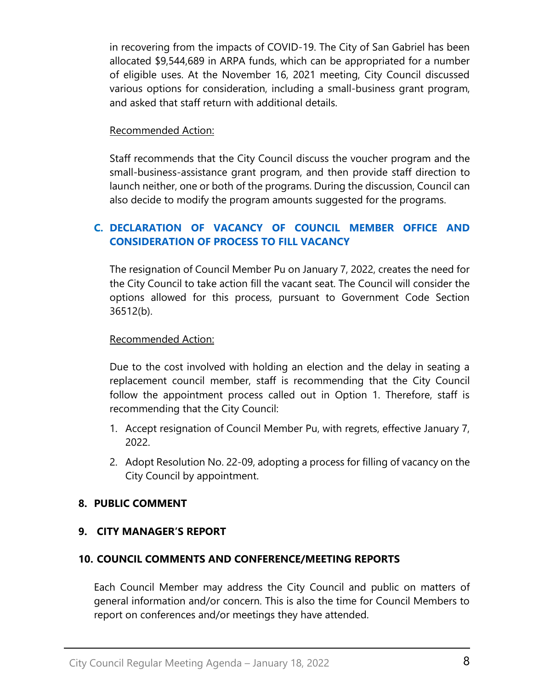in recovering from the impacts of COVID-19. The City of San Gabriel has been allocated \$9,544,689 in ARPA funds, which can be appropriated for a number of eligible uses. At the November 16, 2021 meeting, City Council discussed various options for consideration, including a small-business grant program, and asked that staff return with additional details.

### Recommended Action:

Staff recommends that the City Council discuss the voucher program and the small-business-assistance grant program, and then provide staff direction to launch neither, one or both of the programs. During the discussion, Council can also decide to modify the program amounts suggested for the programs.

# **C. [DECLARATION OF VACANCY OF COUNCIL MEMBER OFFICE AND](https://www.sangabrielcity.com/DocumentCenter/View/15904/Item-7C---Declaration-of-Vacancy-of-Council-Member-Office-and-Consideration-of-Process-to-Fill-Vacancy)  [CONSIDERATION OF PROCESS TO FILL VACANCY](https://www.sangabrielcity.com/DocumentCenter/View/15904/Item-7C---Declaration-of-Vacancy-of-Council-Member-Office-and-Consideration-of-Process-to-Fill-Vacancy)**

The resignation of Council Member Pu on January 7, 2022, creates the need for the City Council to take action fill the vacant seat. The Council will consider the options allowed for this process, pursuant to Government Code Section 36512(b).

### Recommended Action:

Due to the cost involved with holding an election and the delay in seating a replacement council member, staff is recommending that the City Council follow the appointment process called out in Option 1. Therefore, staff is recommending that the City Council:

- 1. Accept resignation of Council Member Pu, with regrets, effective January 7, 2022.
- 2. Adopt Resolution No. 22-09, adopting a process for filling of vacancy on the City Council by appointment.

### **8. PUBLIC COMMENT**

### **9. CITY MANAGER'S REPORT**

### **10. COUNCIL COMMENTS AND CONFERENCE/MEETING REPORTS**

Each Council Member may address the City Council and public on matters of general information and/or concern. This is also the time for Council Members to report on conferences and/or meetings they have attended.